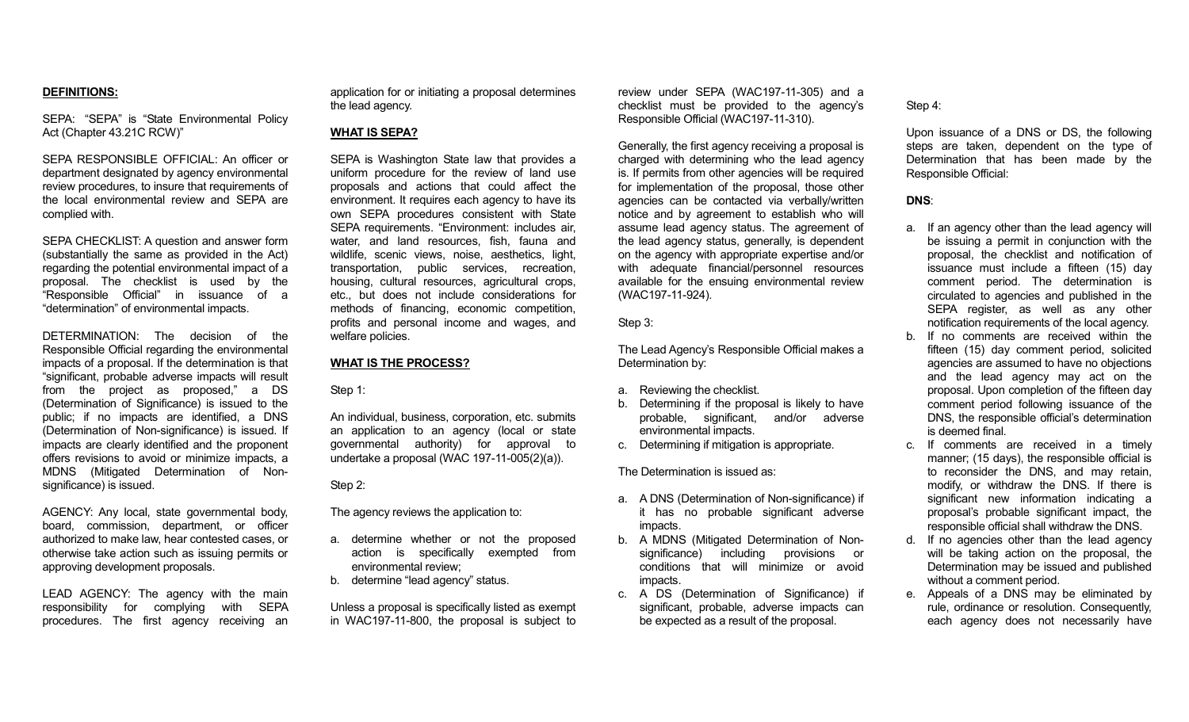# **DEFINITIONS:**

SEPA: "SEPA" is "State Environmental Policy Act (Chapter 43.21C RCW)"

SEPA RESPONSIBLE OFFICIAL: An officer or department designated by agency environmental review procedures, to insure that requirements of the local environmental review and SEPA are complied with.

SEPA CHECKLIST: A question and answer form (substantially the same as provided in the Act) regarding the potential environmental impact of a proposal. The checklist is used by the "Responsible Official" in issuance of a "determination" of environmental impacts.

DETERMINATION: The decision of the Responsible Official regarding the environmental impacts of a proposal. If the determination is that "significant, probable adverse impacts will result from the project as proposed," a DS (Determination of Significance) is issued to the public; if no impacts are identified, a DNS (Determination of Non-significance) is issued. If impacts are clearly identified and the proponent offers revisions to avoid or minimize impacts, a MDNS (Mitigated Determination of Nonsignificance) is issued.

AGENCY: Any local, state governmental body, board, commission, department, or officer authorized to make law, hear contested cases, or otherwise take action such as issuing permits or approving development proposals.

LEAD AGENCY: The agency with the main responsibility for complying with SEPA procedures. The first agency receiving an application for or initiating a proposal determines the lead agency.

# **WHAT IS SEPA?**

SEPA is Washington State law that provides a uniform procedure for the review of land use proposals and actions that could affect the environment. It requires each agency to have its own SEPA procedures consistent with State SEPA requirements. "Environment: includes air, water, and land resources, fish, fauna and wildlife, scenic views, noise, aesthetics, light, transportation, public services, recreation, housing, cultural resources, agricultural crops, etc., but does not include considerations for methods of financing, economic competition, profits and personal income and wages, and welfare policies.

# **WHAT IS THE PROCESS?**

Step 1:

An individual, business, corporation, etc. submits an application to an agency (local or state governmental authority) for approval to undertake a proposal (WAC 197-11-005(2)(a)).

Step 2:

The agency reviews the application to:

- a. determine whether or not the proposed action is specifically exempted from environmental review;
- b. determine "lead agency" status.

Unless a proposal is specifically listed as exempt in WAC197-11-800, the proposal is subject to review under SEPA (WAC197-11-305) and a checklist must be provided to the agency's Responsible Official (WAC197-11-310).

Generally, the first agency receiving a proposal is charged with determining who the lead agency is. If permits from other agencies will be required for implementation of the proposal, those other agencies can be contacted via verbally/written notice and by agreement to establish who will assume lead agency status. The agreement of the lead agency status, generally, is dependent on the agency with appropriate expertise and/or with adequate financial/personnel resources available for the ensuing environmental review (WAC197-11-924).

Step 3:

The Lead Agency's Responsible Official makes a Determination by:

- a. Reviewing the checklist.
- b. Determining if the proposal is likely to have probable, significant, and/or adverse environmental impacts.
- c. Determining if mitigation is appropriate.

The Determination is issued as:

- a. A DNS (Determination of Non-significance) if it has no probable significant adverse impacts.
- b. A MDNS (Mitigated Determination of Nonsignificance) including provisions or conditions that will minimize or avoid impacts.
- c. A DS (Determination of Significance) if significant, probable, adverse impacts can be expected as a result of the proposal.

Step 4:

Upon issuance of a DNS or DS, the following steps are taken, dependent on the type of Determination that has been made by the Responsible Official:

#### **DNS**:

- a. If an agency other than the lead agency will be issuing a permit in conjunction with the proposal, the checklist and notification of issuance must include a fifteen (15) day comment period. The determination is circulated to agencies and published in the SEPA register, as well as any other notification requirements of the local agency.
- b. If no comments are received within the fifteen (15) day comment period, solicited agencies are assumed to have no objections and the lead agency may act on the proposal. Upon completion of the fifteen day comment period following issuance of the DNS, the responsible official's determination is deemed final.
- c. If comments are received in a timely manner; (15 days), the responsible official is to reconsider the DNS, and may retain, modify, or withdraw the DNS. If there is significant new information indicating a proposal's probable significant impact, the responsible official shall withdraw the DNS.
- d. If no agencies other than the lead agency will be taking action on the proposal, the Determination may be issued and published without a comment period.
- e. Appeals of a DNS may be eliminated by rule, ordinance or resolution. Consequently, each agency does not necessarily have